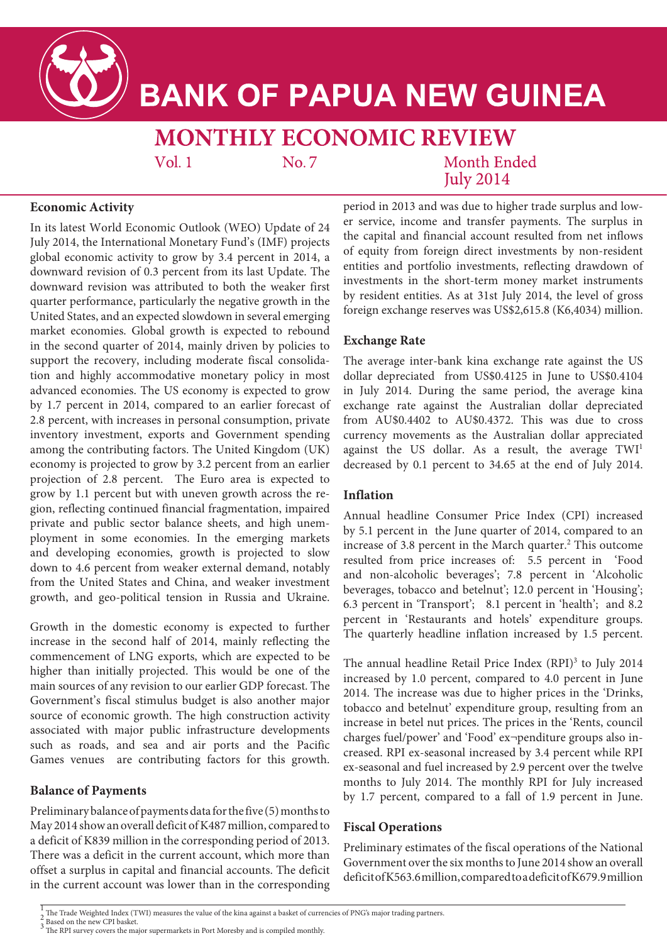

# **BANK OF PAPUA NEW GUINEA**

# **MONTHLY ECONOMIC REVIEW**

 $Vol.1$ 

No. 7

Month Ended **July 2014** 

### **Economic Activity**

In its latest World Economic Outlook (WEO) Update of 24 July 2014, the International Monetary Fund's (IMF) projects global economic activity to grow by 3.4 percent in 2014, a downward revision of 0.3 percent from its last Update. The downward revision was attributed to both the weaker first quarter performance, particularly the negative growth in the United States, and an expected slowdown in several emerging market economies. Global growth is expected to rebound in the second quarter of 2014, mainly driven by policies to support the recovery, including moderate fiscal consolidation and highly accommodative monetary policy in most advanced economies. The US economy is expected to grow by 1.7 percent in 2014, compared to an earlier forecast of 2.8 percent, with increases in personal consumption, private inventory investment, exports and Government spending among the contributing factors. The United Kingdom (UK) economy is projected to grow by 3.2 percent from an earlier projection of 2.8 percent. The Euro area is expected to grow by 1.1 percent but with uneven growth across the region, reflecting continued financial fragmentation, impaired private and public sector balance sheets, and high unemployment in some economies. In the emerging markets and developing economies, growth is projected to slow down to 4.6 percent from weaker external demand, notably from the United States and China, and weaker investment growth, and geo-political tension in Russia and Ukraine.

Growth in the domestic economy is expected to further increase in the second half of 2014, mainly reflecting the commencement of LNG exports, which are expected to be higher than initially projected. This would be one of the main sources of any revision to our earlier GDP forecast. The Government's fiscal stimulus budget is also another major source of economic growth. The high construction activity associated with major public infrastructure developments such as roads, and sea and air ports and the Pacific Games venues are contributing factors for this growth.

# **Balance of Payments**

Preliminary balance of payments data for the five (5) months to May 2014 show an overall deficit of K487 million, compared to a deficit of K839 million in the corresponding period of 2013. There was a deficit in the current account, which more than offset a surplus in capital and financial accounts. The deficit in the current account was lower than in the corresponding period in 2013 and was due to higher trade surplus and lower service, income and transfer payments. The surplus in the capital and financial account resulted from net inflows of equity from foreign direct investments by non-resident entities and portfolio investments, reflecting drawdown of investments in the short-term money market instruments by resident entities. As at 31st July 2014, the level of gross foreign exchange reserves was US\$2,615.8 (K6,4034) million.

# **Exchange Rate**

The average inter-bank kina exchange rate against the US dollar depreciated from US\$0.4125 in June to US\$0.4104 in July 2014. During the same period, the average kina exchange rate against the Australian dollar depreciated from AU\$0.4402 to AU\$0.4372. This was due to cross currency movements as the Australian dollar appreciated against the US dollar. As a result, the average  $TWI<sup>1</sup>$ decreased by 0.1 percent to 34.65 at the end of July 2014.

#### **Inflation**

Annual headline Consumer Price Index (CPI) increased by 5.1 percent in the June quarter of 2014, compared to an increase of 3.8 percent in the March quarter.<sup>2</sup> This outcome resulted from price increases of: 5.5 percent in 'Food and non-alcoholic beverages'; 7.8 percent in 'Alcoholic beverages, tobacco and betelnut'; 12.0 percent in 'Housing'; 6.3 percent in 'Transport'; 8.1 percent in 'health'; and 8.2 percent in 'Restaurants and hotels' expenditure groups. The quarterly headline inflation increased by 1.5 percent.

The annual headline Retail Price Index  $(RPI)^3$  to July 2014 increased by 1.0 percent, compared to 4.0 percent in June 2014. The increase was due to higher prices in the 'Drinks, tobacco and betelnut' expenditure group, resulting from an increase in betel nut prices. The prices in the 'Rents, council charges fuel/power' and 'Food' ex¬penditure groups also increased. RPI ex-seasonal increased by 3.4 percent while RPI ex-seasonal and fuel increased by 2.9 percent over the twelve months to July 2014. The monthly RPI for July increased by 1.7 percent, compared to a fall of 1.9 percent in June.

# **Fiscal Operations**

Preliminary estimates of the fiscal operations of the National Government over the six months to June 2014 show an overall deficit of K563.6 million, compared to a deficit of K679.9 million

 $\frac{1}{2}$  The Trade Weighted Index (TWI) measures the value of the kina against a basket of currencies of PNG's major trading partners.<br>2 Based on the new CPI basket.

 $\frac{2}{3}$  Based on the new CPI basket.<br> $\frac{3}{3}$  The RPI survey covers the major supermarkets in Port Moresby and is compiled monthly.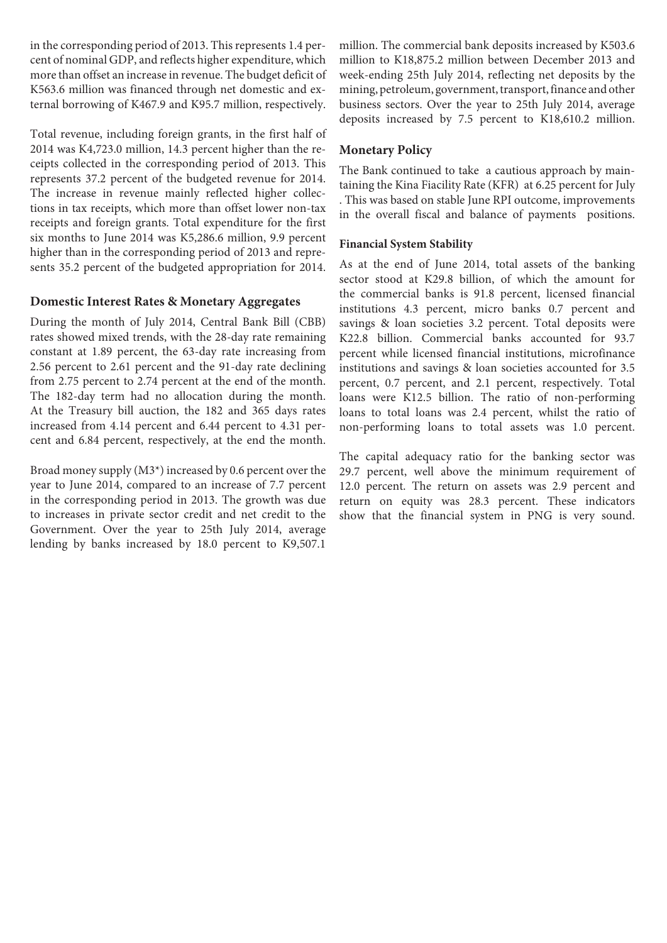in the corresponding period of 2013. This represents 1.4 percent of nominal GDP, and reflects higher expenditure, which more than offset an increase in revenue. The budget deficit of K563.6 million was financed through net domestic and external borrowing of K467.9 and K95.7 million, respectively.

Total revenue, including foreign grants, in the first half of 2014 was K4,723.0 million, 14.3 percent higher than the receipts collected in the corresponding period of 2013. This represents 37.2 percent of the budgeted revenue for 2014. The increase in revenue mainly reflected higher collections in tax receipts, which more than offset lower non-tax receipts and foreign grants. Total expenditure for the first six months to June 2014 was K5,286.6 million, 9.9 percent higher than in the corresponding period of 2013 and represents 35.2 percent of the budgeted appropriation for 2014.

#### **Domestic Interest Rates & Monetary Aggregates**

During the month of July 2014, Central Bank Bill (CBB) rates showed mixed trends, with the 28-day rate remaining constant at 1.89 percent, the 63-day rate increasing from 2.56 percent to 2.61 percent and the 91-day rate declining from 2.75 percent to 2.74 percent at the end of the month. The 182-day term had no allocation during the month. At the Treasury bill auction, the 182 and 365 days rates increased from 4.14 percent and 6.44 percent to 4.31 percent and 6.84 percent, respectively, at the end the month.

Broad money supply (M3\*) increased by 0.6 percent over the year to June 2014, compared to an increase of 7.7 percent in the corresponding period in 2013. The growth was due to increases in private sector credit and net credit to the Government. Over the year to 25th July 2014, average lending by banks increased by 18.0 percent to K9,507.1

million. The commercial bank deposits increased by K503.6 million to K18,875.2 million between December 2013 and week-ending 25th July 2014, reflecting net deposits by the mining, petroleum, government, transport, finance and other business sectors. Over the year to 25th July 2014, average deposits increased by 7.5 percent to K18,610.2 million.

#### **Monetary Policy**

The Bank continued to take a cautious approach by maintaining the Kina Fiacility Rate (KFR) at 6.25 percent for July . This was based on stable June RPI outcome, improvements in the overall fiscal and balance of payments positions.

#### **Financial System Stability**

As at the end of June 2014, total assets of the banking sector stood at K29.8 billion, of which the amount for the commercial banks is 91.8 percent, licensed financial institutions 4.3 percent, micro banks 0.7 percent and savings & loan societies 3.2 percent. Total deposits were K22.8 billion. Commercial banks accounted for 93.7 percent while licensed financial institutions, microfinance institutions and savings & loan societies accounted for 3.5 percent, 0.7 percent, and 2.1 percent, respectively. Total loans were K12.5 billion. The ratio of non-performing loans to total loans was 2.4 percent, whilst the ratio of non-performing loans to total assets was 1.0 percent.

The capital adequacy ratio for the banking sector was 29.7 percent, well above the minimum requirement of 12.0 percent. The return on assets was 2.9 percent and return on equity was 28.3 percent. These indicators show that the financial system in PNG is very sound.